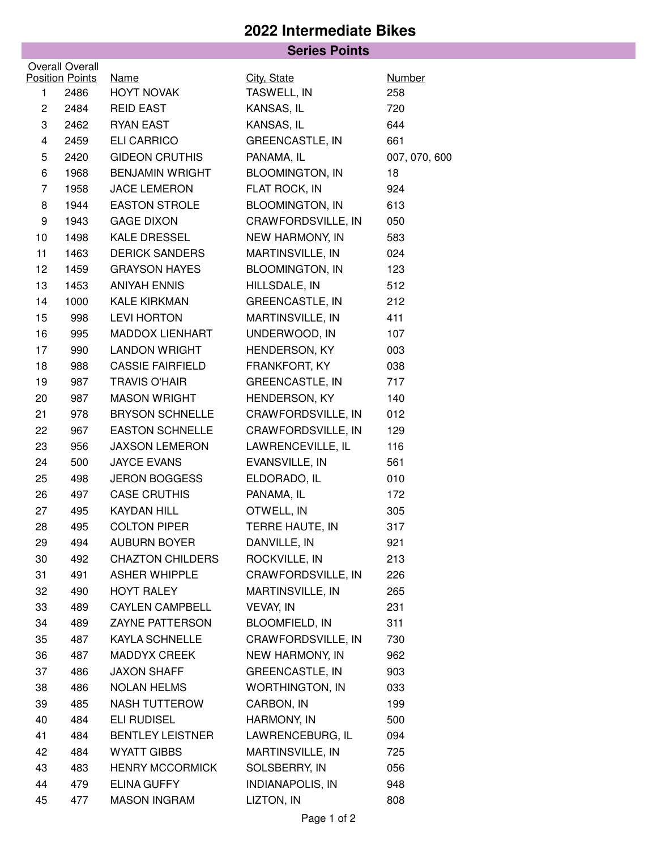## **2022 Intermediate Bikes**

|                 |                        | <b>Series Points</b>    |                         |               |  |  |  |  |
|-----------------|------------------------|-------------------------|-------------------------|---------------|--|--|--|--|
| Overall Overall |                        |                         |                         |               |  |  |  |  |
|                 | <b>Position Points</b> | <b>Name</b>             | City, State             | <b>Number</b> |  |  |  |  |
| 1               | 2486                   | <b>HOYT NOVAK</b>       | TASWELL, IN             | 258           |  |  |  |  |
| $\mathbf{2}$    | 2484                   | <b>REID EAST</b>        | KANSAS, IL              | 720           |  |  |  |  |
| 3               | 2462                   | <b>RYAN EAST</b>        | KANSAS, IL              | 644           |  |  |  |  |
| $\overline{4}$  | 2459                   | <b>ELI CARRICO</b>      | <b>GREENCASTLE, IN</b>  | 661           |  |  |  |  |
| 5               | 2420                   | <b>GIDEON CRUTHIS</b>   | PANAMA, IL              | 007, 070, 600 |  |  |  |  |
| 6               | 1968                   | <b>BENJAMIN WRIGHT</b>  | <b>BLOOMINGTON, IN</b>  | 18            |  |  |  |  |
| $\overline{7}$  | 1958                   | <b>JACE LEMERON</b>     | FLAT ROCK, IN           | 924           |  |  |  |  |
| 8               | 1944                   | <b>EASTON STROLE</b>    | <b>BLOOMINGTON, IN</b>  | 613           |  |  |  |  |
| 9               | 1943                   | <b>GAGE DIXON</b>       | CRAWFORDSVILLE, IN      | 050           |  |  |  |  |
| 10              | 1498                   | KALE DRESSEL            | NEW HARMONY, IN         | 583           |  |  |  |  |
| 11              | 1463                   | <b>DERICK SANDERS</b>   | MARTINSVILLE, IN        | 024           |  |  |  |  |
| 12 <sub>2</sub> | 1459                   | <b>GRAYSON HAYES</b>    | <b>BLOOMINGTON, IN</b>  | 123           |  |  |  |  |
| 13              | 1453                   | <b>ANIYAH ENNIS</b>     | HILLSDALE, IN           | 512           |  |  |  |  |
| 14              | 1000                   | <b>KALE KIRKMAN</b>     | <b>GREENCASTLE, IN</b>  | 212           |  |  |  |  |
| 15              | 998                    | <b>LEVI HORTON</b>      | MARTINSVILLE, IN        | 411           |  |  |  |  |
| 16              | 995                    | MADDOX LIENHART         | UNDERWOOD, IN           | 107           |  |  |  |  |
| 17              | 990                    | <b>LANDON WRIGHT</b>    | HENDERSON, KY           | 003           |  |  |  |  |
| 18              | 988                    | <b>CASSIE FAIRFIELD</b> | FRANKFORT, KY           | 038           |  |  |  |  |
| 19              | 987                    | <b>TRAVIS O'HAIR</b>    | <b>GREENCASTLE, IN</b>  | 717           |  |  |  |  |
| 20              | 987                    | <b>MASON WRIGHT</b>     | HENDERSON, KY           | 140           |  |  |  |  |
| 21              | 978                    | <b>BRYSON SCHNELLE</b>  | CRAWFORDSVILLE, IN      | 012           |  |  |  |  |
| 22              | 967                    | <b>EASTON SCHNELLE</b>  | CRAWFORDSVILLE, IN      | 129           |  |  |  |  |
| 23              | 956                    | <b>JAXSON LEMERON</b>   | LAWRENCEVILLE, IL       | 116           |  |  |  |  |
| 24              | 500                    | <b>JAYCE EVANS</b>      | EVANSVILLE, IN          | 561           |  |  |  |  |
| 25              | 498                    | <b>JERON BOGGESS</b>    | ELDORADO, IL            | 010           |  |  |  |  |
| 26              | 497                    | <b>CASE CRUTHIS</b>     | PANAMA, IL              | 172           |  |  |  |  |
| 27              | 495                    | <b>KAYDAN HILL</b>      | OTWELL, IN              | 305           |  |  |  |  |
| 28              | 495                    | <b>COLTON PIPER</b>     | TERRE HAUTE, IN         | 317           |  |  |  |  |
| 29              | 494                    | <b>AUBURN BOYER</b>     | DANVILLE, IN            | 921           |  |  |  |  |
| 30              | 492                    | <b>CHAZTON CHILDERS</b> | ROCKVILLE, IN           | 213           |  |  |  |  |
| 31              | 491                    | <b>ASHER WHIPPLE</b>    | CRAWFORDSVILLE, IN      | 226           |  |  |  |  |
| 32              | 490                    | <b>HOYT RALEY</b>       | MARTINSVILLE, IN        | 265           |  |  |  |  |
| 33              | 489                    | <b>CAYLEN CAMPBELL</b>  | VEVAY, IN               | 231           |  |  |  |  |
| 34              | 489                    | ZAYNE PATTERSON         | BLOOMFIELD, IN          | 311           |  |  |  |  |
| 35              | 487                    | <b>KAYLA SCHNELLE</b>   | CRAWFORDSVILLE, IN      | 730           |  |  |  |  |
| 36              | 487                    | <b>MADDYX CREEK</b>     | NEW HARMONY, IN         | 962           |  |  |  |  |
| 37              | 486                    | <b>JAXON SHAFF</b>      | <b>GREENCASTLE, IN</b>  | 903           |  |  |  |  |
| 38              | 486                    | NOLAN HELMS             | <b>WORTHINGTON, IN</b>  | 033           |  |  |  |  |
| 39              | 485                    | NASH TUTTEROW           | CARBON, IN              | 199           |  |  |  |  |
| 40              | 484                    | <b>ELI RUDISEL</b>      | HARMONY, IN             | 500           |  |  |  |  |
| 41              | 484                    | <b>BENTLEY LEISTNER</b> | LAWRENCEBURG, IL        | 094           |  |  |  |  |
| 42              | 484                    | <b>WYATT GIBBS</b>      | MARTINSVILLE, IN        | 725           |  |  |  |  |
| 43              | 483                    | <b>HENRY MCCORMICK</b>  | SOLSBERRY, IN           | 056           |  |  |  |  |
| 44              | 479                    | <b>ELINA GUFFY</b>      | <b>INDIANAPOLIS, IN</b> | 948           |  |  |  |  |
| 45              | 477                    | <b>MASON INGRAM</b>     | LIZTON, IN              | 808           |  |  |  |  |